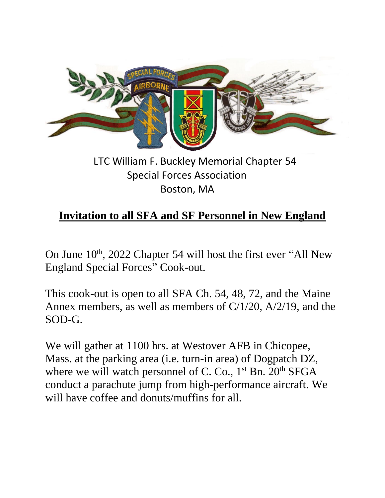

## LTC William F. Buckley Memorial Chapter 54 Special Forces Association Boston, MA

## **Invitation to all SFA and SF Personnel in New England**

On June 10<sup>th</sup>, 2022 Chapter 54 will host the first ever "All New England Special Forces" Cook-out.

This cook-out is open to all SFA Ch. 54, 48, 72, and the Maine Annex members, as well as members of C/1/20, A/2/19, and the SOD-G.

We will gather at 1100 hrs. at Westover AFB in Chicopee, Mass. at the parking area (i.e. turn-in area) of Dogpatch DZ, where we will watch personnel of C. Co.,  $1<sup>st</sup>$  Bn.  $20<sup>th</sup>$  SFGA conduct a parachute jump from high-performance aircraft. We will have coffee and donuts/muffins for all.